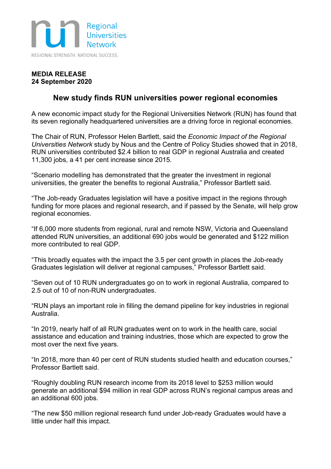

### **MEDIA RELEASE 24 September 2020**

## **New study finds RUN universities power regional economies**

A new economic impact study for the Regional Universities Network (RUN) has found that its seven regionally headquartered universities are a driving force in regional economies.

The Chair of RUN, Professor Helen Bartlett, said the *Economic Impact of the Regional Universities Network* study by Nous and the Centre of Policy Studies showed that in 2018, RUN universities contributed \$2.4 billion to real GDP in regional Australia and created 11,300 jobs, a 41 per cent increase since 2015.

"Scenario modelling has demonstrated that the greater the investment in regional universities, the greater the benefits to regional Australia," Professor Bartlett said.

"The Job-ready Graduates legislation will have a positive impact in the regions through funding for more places and regional research, and if passed by the Senate, will help grow regional economies.

"If 6,000 more students from regional, rural and remote NSW, Victoria and Queensland attended RUN universities, an additional 690 jobs would be generated and \$122 million more contributed to real GDP.

"This broadly equates with the impact the 3.5 per cent growth in places the Job-ready Graduates legislation will deliver at regional campuses," Professor Bartlett said.

"Seven out of 10 RUN undergraduates go on to work in regional Australia, compared to 2.5 out of 10 of non-RUN undergraduates.

"RUN plays an important role in filling the demand pipeline for key industries in regional Australia.

"In 2019, nearly half of all RUN graduates went on to work in the health care, social assistance and education and training industries, those which are expected to grow the most over the next five years.

"In 2018, more than 40 per cent of RUN students studied health and education courses," Professor Bartlett said.

"Roughly doubling RUN research income from its 2018 level to \$253 million would generate an additional \$94 million in real GDP across RUN's regional campus areas and an additional 600 jobs.

"The new \$50 million regional research fund under Job-ready Graduates would have a little under half this impact.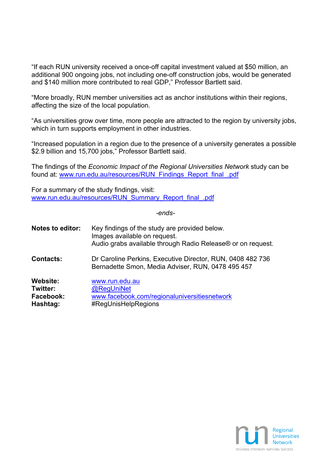"If each RUN university received a once-off capital investment valued at \$50 million, an additional 900 ongoing jobs, not including one-off construction jobs, would be generated and \$140 million more contributed to real GDP," Professor Bartlett said.

"More broadly, RUN member universities act as anchor institutions within their regions, affecting the size of the local population.

"As universities grow over time, more people are attracted to the region by university jobs, which in turn supports employment in other industries.

"Increased population in a region due to the presence of a university generates a possible \$2.9 billion and 15,700 jobs," Professor Bartlett said.

The findings of the *Economic Impact of the Regional Universities Network* study can be found at: www.run.edu.au/resources/RUN\_Findings\_Report\_final\_.pdf

For a summary of the study findings, visit: www.run.edu.au/resources/RUN\_Summary\_Report\_final\_.pdf

*-ends-*

| <b>Notes to editor:</b> | Key findings of the study are provided below.<br>Images available on request.<br>Audio grabs available through Radio Release® or on request. |
|-------------------------|----------------------------------------------------------------------------------------------------------------------------------------------|
| <b>Contacts:</b>        | Dr Caroline Perkins, Executive Director, RUN, 0408 482 736<br>Bernadette Smon, Media Adviser, RUN, 0478 495 457                              |
| <b>Website:</b>         | www.run.edu.au                                                                                                                               |
| Twitter:                | @RegUniNet                                                                                                                                   |
| Facebook:               | www.facebook.com/regionaluniversitiesnetwork                                                                                                 |
| Hashtag:                | #RegUnisHelpRegions                                                                                                                          |